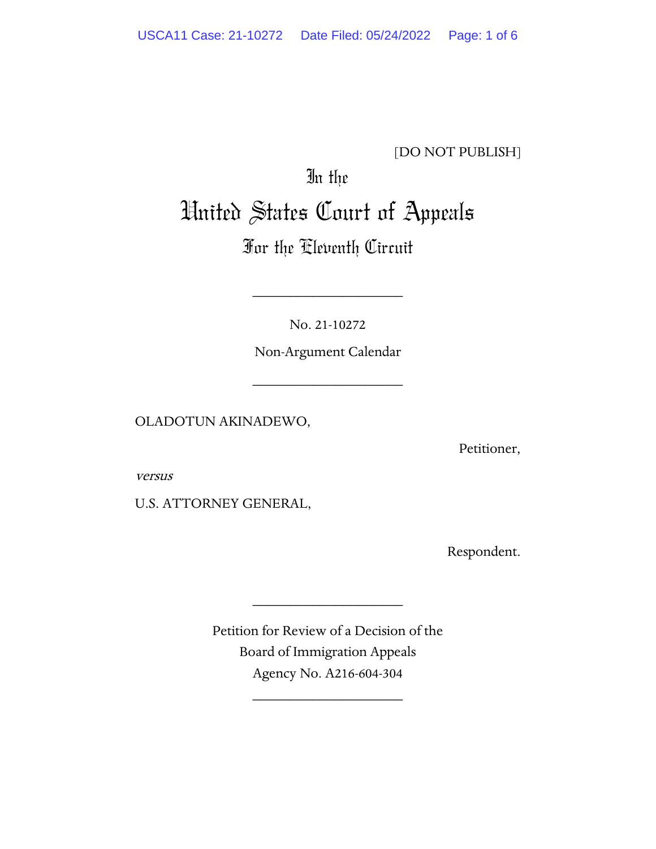### [DO NOT PUBLISH]

# In the United States Court of Appeals

## For the Eleventh Circuit

No. 21-10272

\_\_\_\_\_\_\_\_\_\_\_\_\_\_\_\_\_\_\_\_

Non-Argument Calendar

\_\_\_\_\_\_\_\_\_\_\_\_\_\_\_\_\_\_\_\_

OLADOTUN AKINADEWO,

Petitioner,

versus

U.S. ATTORNEY GENERAL,

Respondent.

Petition for Review of a Decision of the Board of Immigration Appeals Agency No. A216-604-304

\_\_\_\_\_\_\_\_\_\_\_\_\_\_\_\_\_\_\_\_

\_\_\_\_\_\_\_\_\_\_\_\_\_\_\_\_\_\_\_\_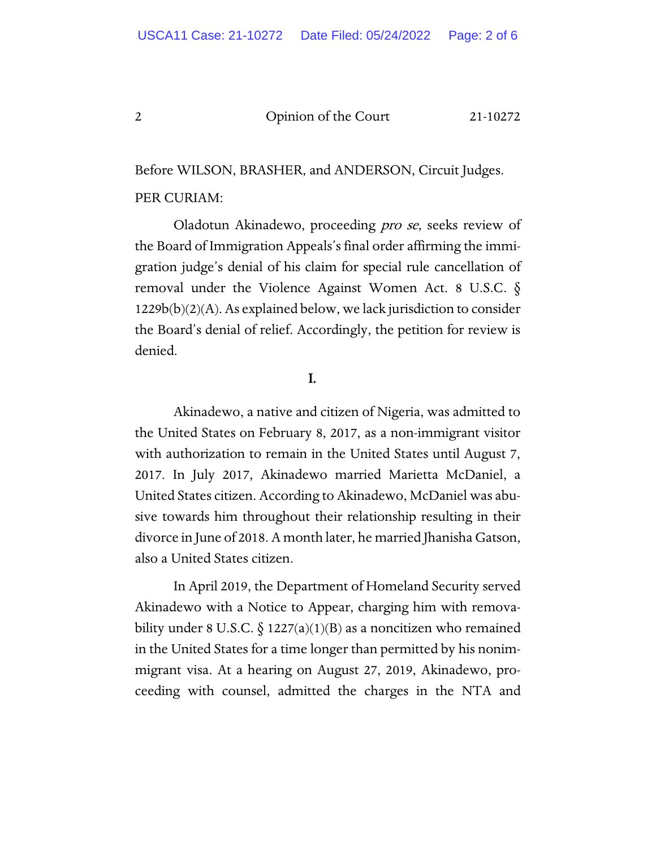2 Opinion of the Court 21-10272

Before WILSON, BRASHER, and ANDERSON, Circuit Judges. PER CURIAM:

Oladotun Akinadewo, proceeding pro se, seeks review of the Board of Immigration Appeals's final order affirming the immigration judge's denial of his claim for special rule cancellation of removal under the Violence Against Women Act. 8 U.S.C. §  $1229b(b)(2)(A)$ . As explained below, we lack jurisdiction to consider the Board's denial of relief. Accordingly, the petition for review is denied.

#### I.

Akinadewo, a native and citizen of Nigeria, was admitted to the United States on February 8, 2017, as a non-immigrant visitor with authorization to remain in the United States until August 7, 2017. In July 2017, Akinadewo married Marietta McDaniel, a United States citizen. According to Akinadewo, McDaniel was abusive towards him throughout their relationship resulting in their divorce in June of 2018. A month later, he married Jhanisha Gatson, also a United States citizen.

In April 2019, the Department of Homeland Security served Akinadewo with a Notice to Appear, charging him with removability under 8 U.S.C.  $\S 1227(a)(1)(B)$  as a noncitizen who remained in the United States for a time longer than permitted by his nonimmigrant visa. At a hearing on August 27, 2019, Akinadewo, proceeding with counsel, admitted the charges in the NTA and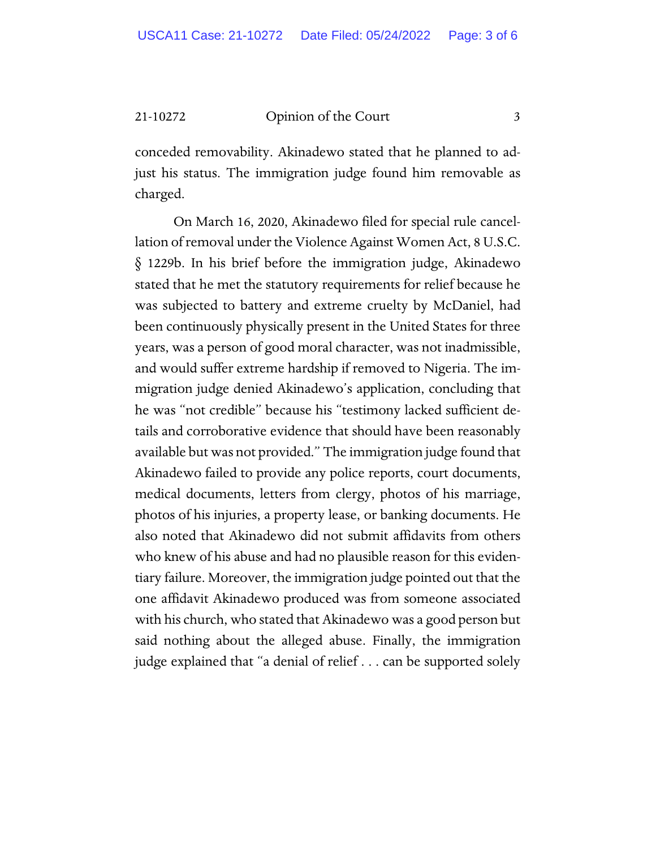21-10272 Opinion of the Court 3

conceded removability. Akinadewo stated that he planned to adjust his status. The immigration judge found him removable as charged.

On March 16, 2020, Akinadewo filed for special rule cancellation of removal under the Violence Against Women Act, 8 U.S.C. § 1229b. In his brief before the immigration judge, Akinadewo stated that he met the statutory requirements for relief because he was subjected to battery and extreme cruelty by McDaniel, had been continuously physically present in the United States for three years, was a person of good moral character, was not inadmissible, and would suffer extreme hardship if removed to Nigeria. The immigration judge denied Akinadewo's application, concluding that he was "not credible" because his "testimony lacked sufficient details and corroborative evidence that should have been reasonably available but was not provided." The immigration judge found that Akinadewo failed to provide any police reports, court documents, medical documents, letters from clergy, photos of his marriage, photos of his injuries, a property lease, or banking documents. He also noted that Akinadewo did not submit affidavits from others who knew of his abuse and had no plausible reason for this evidentiary failure. Moreover, the immigration judge pointed out that the one affidavit Akinadewo produced was from someone associated with his church, who stated that Akinadewo was a good person but said nothing about the alleged abuse. Finally, the immigration judge explained that "a denial of relief . . . can be supported solely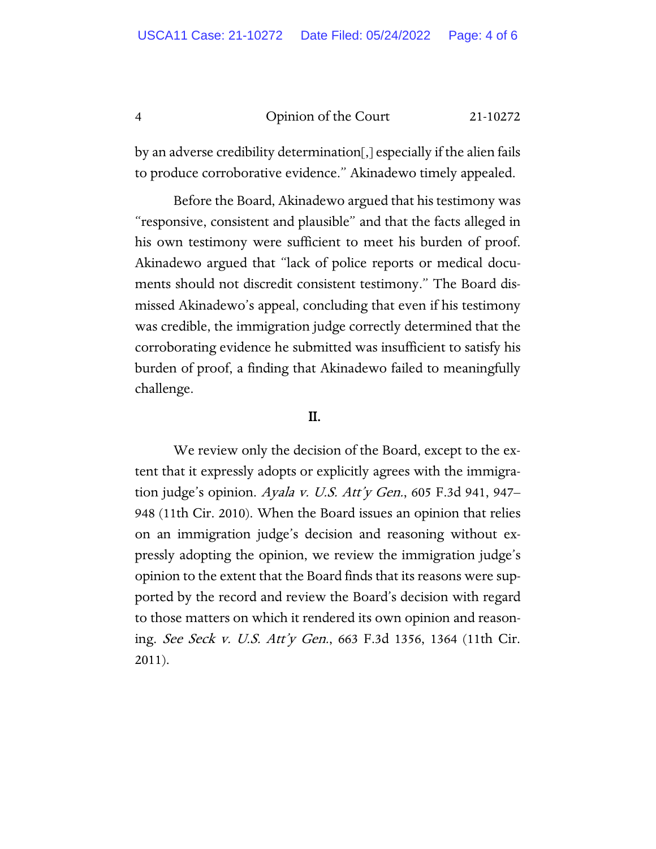#### 4 Opinion of the Court 21-10272

by an adverse credibility determination[,] especially if the alien fails to produce corroborative evidence." Akinadewo timely appealed.

Before the Board, Akinadewo argued that his testimony was "responsive, consistent and plausible" and that the facts alleged in his own testimony were sufficient to meet his burden of proof. Akinadewo argued that "lack of police reports or medical documents should not discredit consistent testimony." The Board dismissed Akinadewo's appeal, concluding that even if his testimony was credible, the immigration judge correctly determined that the corroborating evidence he submitted was insufficient to satisfy his burden of proof, a finding that Akinadewo failed to meaningfully challenge.

#### II.

We review only the decision of the Board, except to the extent that it expressly adopts or explicitly agrees with the immigration judge's opinion. Ayala v. U.S. Att'y Gen., 605 F.3d 941, 947– 948 (11th Cir. 2010). When the Board issues an opinion that relies on an immigration judge's decision and reasoning without expressly adopting the opinion, we review the immigration judge's opinion to the extent that the Board finds that its reasons were supported by the record and review the Board's decision with regard to those matters on which it rendered its own opinion and reasoning. See Seck v. U.S. Att'y Gen., 663 F.3d 1356, 1364 (11th Cir. 2011).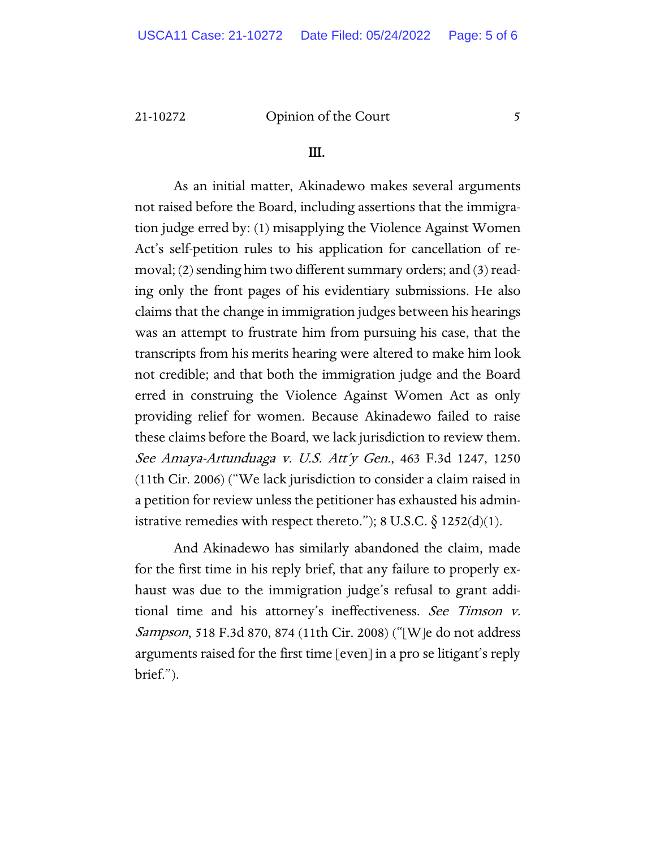#### 21-10272 Opinion of the Court 5

#### III.

As an initial matter, Akinadewo makes several arguments not raised before the Board, including assertions that the immigration judge erred by: (1) misapplying the Violence Against Women Act's self-petition rules to his application for cancellation of removal; (2) sending him two different summary orders; and (3) reading only the front pages of his evidentiary submissions. He also claims that the change in immigration judges between his hearings was an attempt to frustrate him from pursuing his case, that the transcripts from his merits hearing were altered to make him look not credible; and that both the immigration judge and the Board erred in construing the Violence Against Women Act as only providing relief for women. Because Akinadewo failed to raise these claims before the Board, we lack jurisdiction to review them. See Amaya-Artunduaga v. U.S. Att'y Gen., 463 F.3d 1247, 1250 (11th Cir. 2006) ("We lack jurisdiction to consider a claim raised in a petition for review unless the petitioner has exhausted his administrative remedies with respect thereto."); 8 U.S.C.  $\S$  1252(d)(1).

And Akinadewo has similarly abandoned the claim, made for the first time in his reply brief, that any failure to properly exhaust was due to the immigration judge's refusal to grant additional time and his attorney's ineffectiveness. See Timson v. Sampson, 518 F.3d 870, 874 (11th Cir. 2008) ("[W]e do not address arguments raised for the first time [even] in a pro se litigant's reply brief.").